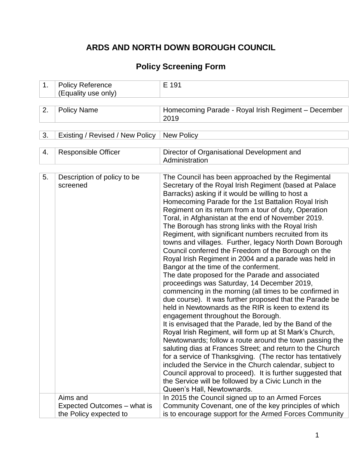# **ARDS AND NORTH DOWN BOROUGH COUNCIL**

# **Policy Screening Form**

| 1. | <b>Policy Reference</b><br>(Equality use only) | E 191                                                                                                                                                                                                                                                                                                                                                                                                                                                                                                                                                                                                                                                                                                                                                                                                                                                                                                                                                                                                                                                                                                                                                                                                                                                                                                                                                                                                                                                                                                                    |
|----|------------------------------------------------|--------------------------------------------------------------------------------------------------------------------------------------------------------------------------------------------------------------------------------------------------------------------------------------------------------------------------------------------------------------------------------------------------------------------------------------------------------------------------------------------------------------------------------------------------------------------------------------------------------------------------------------------------------------------------------------------------------------------------------------------------------------------------------------------------------------------------------------------------------------------------------------------------------------------------------------------------------------------------------------------------------------------------------------------------------------------------------------------------------------------------------------------------------------------------------------------------------------------------------------------------------------------------------------------------------------------------------------------------------------------------------------------------------------------------------------------------------------------------------------------------------------------------|
|    |                                                |                                                                                                                                                                                                                                                                                                                                                                                                                                                                                                                                                                                                                                                                                                                                                                                                                                                                                                                                                                                                                                                                                                                                                                                                                                                                                                                                                                                                                                                                                                                          |
| 2. | <b>Policy Name</b>                             | Homecoming Parade - Royal Irish Regiment - December<br>2019                                                                                                                                                                                                                                                                                                                                                                                                                                                                                                                                                                                                                                                                                                                                                                                                                                                                                                                                                                                                                                                                                                                                                                                                                                                                                                                                                                                                                                                              |
|    |                                                |                                                                                                                                                                                                                                                                                                                                                                                                                                                                                                                                                                                                                                                                                                                                                                                                                                                                                                                                                                                                                                                                                                                                                                                                                                                                                                                                                                                                                                                                                                                          |
| 3. | Existing / Revised / New Policy                | <b>New Policy</b>                                                                                                                                                                                                                                                                                                                                                                                                                                                                                                                                                                                                                                                                                                                                                                                                                                                                                                                                                                                                                                                                                                                                                                                                                                                                                                                                                                                                                                                                                                        |
|    |                                                |                                                                                                                                                                                                                                                                                                                                                                                                                                                                                                                                                                                                                                                                                                                                                                                                                                                                                                                                                                                                                                                                                                                                                                                                                                                                                                                                                                                                                                                                                                                          |
| 4. | <b>Responsible Officer</b>                     | Director of Organisational Development and<br>Administration                                                                                                                                                                                                                                                                                                                                                                                                                                                                                                                                                                                                                                                                                                                                                                                                                                                                                                                                                                                                                                                                                                                                                                                                                                                                                                                                                                                                                                                             |
|    |                                                |                                                                                                                                                                                                                                                                                                                                                                                                                                                                                                                                                                                                                                                                                                                                                                                                                                                                                                                                                                                                                                                                                                                                                                                                                                                                                                                                                                                                                                                                                                                          |
| 5. | Description of policy to be<br>screened        | The Council has been approached by the Regimental<br>Secretary of the Royal Irish Regiment (based at Palace<br>Barracks) asking if it would be willing to host a<br>Homecoming Parade for the 1st Battalion Royal Irish<br>Regiment on its return from a tour of duty, Operation<br>Toral, in Afghanistan at the end of November 2019.<br>The Borough has strong links with the Royal Irish<br>Regiment, with significant numbers recruited from its<br>towns and villages. Further, legacy North Down Borough<br>Council conferred the Freedom of the Borough on the<br>Royal Irish Regiment in 2004 and a parade was held in<br>Bangor at the time of the conferment.<br>The date proposed for the Parade and associated<br>proceedings was Saturday, 14 December 2019,<br>commencing in the morning (all times to be confirmed in<br>due course). It was further proposed that the Parade be<br>held in Newtownards as the RIR is keen to extend its<br>engagement throughout the Borough.<br>It is envisaged that the Parade, led by the Band of the<br>Royal Irish Regiment, will form up at St Mark's Church,<br>Newtownards; follow a route around the town passing the<br>saluting dias at Frances Street; and return to the Church<br>for a service of Thanksgiving. (The rector has tentatively<br>included the Service in the Church calendar, subject to<br>Council approval to proceed). It is further suggested that<br>the Service will be followed by a Civic Lunch in the<br>Queen's Hall, Newtownards. |
|    | Aims and<br>Expected Outcomes – what is        | In 2015 the Council signed up to an Armed Forces<br>Community Covenant, one of the key principles of which                                                                                                                                                                                                                                                                                                                                                                                                                                                                                                                                                                                                                                                                                                                                                                                                                                                                                                                                                                                                                                                                                                                                                                                                                                                                                                                                                                                                               |
|    | the Policy expected to                         | is to encourage support for the Armed Forces Community                                                                                                                                                                                                                                                                                                                                                                                                                                                                                                                                                                                                                                                                                                                                                                                                                                                                                                                                                                                                                                                                                                                                                                                                                                                                                                                                                                                                                                                                   |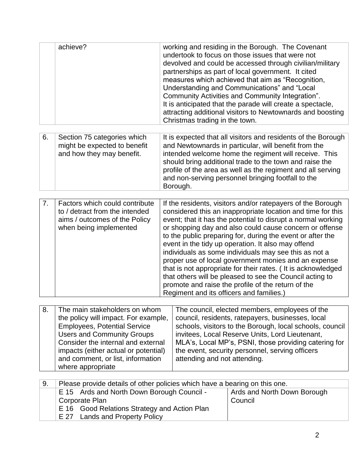|    | achieve?                                                                                                                                                                                                                                                                                  | working and residing in the Borough. The Covenant<br>undertook to focus on those issues that were not<br>devolved and could be accessed through civilian/military<br>partnerships as part of local government. It cited<br>measures which achieved that aim as "Recognition,<br>Understanding and Communications" and "Local<br>Community Activities and Community Integration".<br>It is anticipated that the parade will create a spectacle,<br>attracting additional visitors to Newtownards and boosting<br>Christmas trading in the town.                                                                                                                                                                           |
|----|-------------------------------------------------------------------------------------------------------------------------------------------------------------------------------------------------------------------------------------------------------------------------------------------|--------------------------------------------------------------------------------------------------------------------------------------------------------------------------------------------------------------------------------------------------------------------------------------------------------------------------------------------------------------------------------------------------------------------------------------------------------------------------------------------------------------------------------------------------------------------------------------------------------------------------------------------------------------------------------------------------------------------------|
| 6. | Section 75 categories which<br>might be expected to benefit<br>and how they may benefit.                                                                                                                                                                                                  | It is expected that all visitors and residents of the Borough<br>and Newtownards in particular, will benefit from the<br>intended welcome home the regiment will receive. This<br>should bring additional trade to the town and raise the<br>profile of the area as well as the regiment and all serving<br>and non-serving personnel bringing footfall to the<br>Borough.                                                                                                                                                                                                                                                                                                                                               |
|    |                                                                                                                                                                                                                                                                                           |                                                                                                                                                                                                                                                                                                                                                                                                                                                                                                                                                                                                                                                                                                                          |
| 7. | Factors which could contribute<br>to / detract from the intended<br>aims / outcomes of the Policy<br>when being implemented                                                                                                                                                               | If the residents, visitors and/or ratepayers of the Borough<br>considered this an inappropriate location and time for this<br>event; that it has the potential to disrupt a normal working<br>or shopping day and also could cause concern or offense<br>to the public preparing for, during the event or after the<br>event in the tidy up operation. It also may offend<br>individuals as some individuals may see this as not a<br>proper use of local government monies and an expense<br>that is not appropriate for their rates. (It is acknowledged<br>that others will be pleased to see the Council acting to<br>promote and raise the profile of the return of the<br>Regiment and its officers and families.) |
|    |                                                                                                                                                                                                                                                                                           |                                                                                                                                                                                                                                                                                                                                                                                                                                                                                                                                                                                                                                                                                                                          |
| 8. | The main stakeholders on whom<br>the policy will impact. For example,<br><b>Employees, Potential Service</b><br><b>Users and Community Groups</b><br>Consider the internal and external<br>impacts (either actual or potential)<br>and comment, or list, information<br>where appropriate | The council, elected members, employees of the<br>council, residents, ratepayers, businesses, local<br>schools, visitors to the Borough, local schools, council<br>invitees, Local Reserve Units, Lord Lieutenant,<br>MLA's, Local MP's, PSNI, those providing catering for<br>the event, security personnel, serving officers<br>attending and not attending.                                                                                                                                                                                                                                                                                                                                                           |

| 9. | Please provide details of other policies which have a bearing on this one. |                             |  |  |  |  |
|----|----------------------------------------------------------------------------|-----------------------------|--|--|--|--|
|    | E 15 Ards and North Down Borough Council -                                 | Ards and North Down Borough |  |  |  |  |
|    | Corporate Plan                                                             | Council                     |  |  |  |  |
|    | E 16 Good Relations Strategy and Action Plan                               |                             |  |  |  |  |
|    | E 27 Lands and Property Policy                                             |                             |  |  |  |  |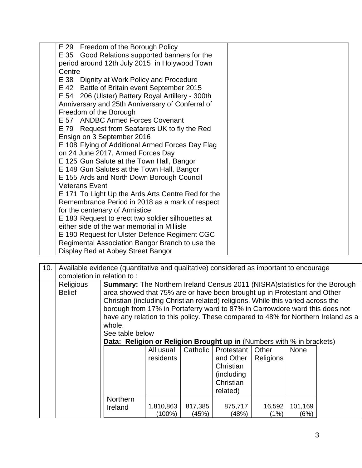| E 29 Freedom of the Borough Policy<br>E 35 Good Relations supported banners for the<br>period around 12th July 2015 in Holywood Town<br>Centre                                                                                             |  |
|--------------------------------------------------------------------------------------------------------------------------------------------------------------------------------------------------------------------------------------------|--|
| E 38 Dignity at Work Policy and Procedure<br>E 42 Battle of Britain event September 2015<br>E 54 206 (Ulster) Battery Royal Artillery - 300th<br>Anniversary and 25th Anniversary of Conferral of<br>Freedom of the Borough                |  |
| E 57 ANDBC Armed Forces Covenant<br>E 79 Request from Seafarers UK to fly the Red<br>Ensign on 3 September 2016<br>E 108 Flying of Additional Armed Forces Day Flag                                                                        |  |
| on 24 June 2017, Armed Forces Day<br>E 125 Gun Salute at the Town Hall, Bangor<br>E 148 Gun Salutes at the Town Hall, Bangor<br>E 155 Ards and North Down Borough Council                                                                  |  |
| <b>Veterans Event</b><br>E 171 To Light Up the Ards Arts Centre Red for the<br>Remembrance Period in 2018 as a mark of respect<br>for the centenary of Armistice                                                                           |  |
| E 183 Request to erect two soldier silhouettes at<br>either side of the war memorial in Millisle<br>E 190 Request for Ulster Defence Regiment CGC<br>Regimental Association Bangor Branch to use the<br>Display Bed at Abbey Street Bangor |  |

| 10. |                                   | Available evidence (quantitative and qualitative) considered as important to encourage                                                                                                                                                                                                                                                                                                                                                  |                        |                  |                                                                             |                           |                 |                                                                                   |
|-----|-----------------------------------|-----------------------------------------------------------------------------------------------------------------------------------------------------------------------------------------------------------------------------------------------------------------------------------------------------------------------------------------------------------------------------------------------------------------------------------------|------------------------|------------------|-----------------------------------------------------------------------------|---------------------------|-----------------|-----------------------------------------------------------------------------------|
|     | completion in relation to:        |                                                                                                                                                                                                                                                                                                                                                                                                                                         |                        |                  |                                                                             |                           |                 |                                                                                   |
|     | <b>Religious</b><br><b>Belief</b> | <b>Summary:</b> The Northern Ireland Census 2011 (NISRA) statistics for the Borough<br>area showed that 75% are or have been brought up in Protestant and Other<br>Christian (including Christian related) religions. While this varied across the<br>borough from 17% in Portaferry ward to 87% in Carrowdore ward this does not<br>whole.<br>See table below<br>Data: Religion or Religion Brought up in (Numbers with % in brackets) |                        |                  |                                                                             |                           |                 | have any relation to this policy. These compared to 48% for Northern Ireland as a |
|     |                                   |                                                                                                                                                                                                                                                                                                                                                                                                                                         | All usual<br>residents | Catholic         | Protestant<br>and Other<br>Christian<br>(including<br>Christian<br>related) | Other<br><b>Religions</b> | <b>None</b>     |                                                                                   |
|     |                                   | Northern<br>Ireland                                                                                                                                                                                                                                                                                                                                                                                                                     | 1,810,863<br>(100%)    | 817,385<br>(45%) | 875,717<br>(48%)                                                            | 16,592<br>(1%)            | 101,169<br>(6%) |                                                                                   |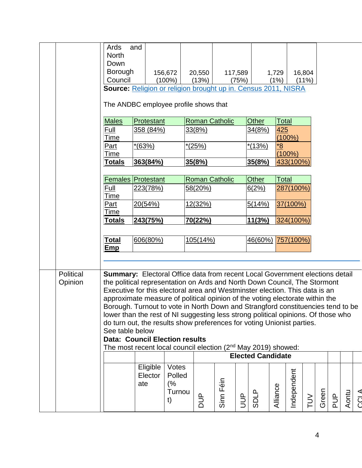|           | Ards<br><b>North</b><br>Down | and                                                                                                                |              |                |                       |                |                          |              |             |        |       |            |       |                |
|-----------|------------------------------|--------------------------------------------------------------------------------------------------------------------|--------------|----------------|-----------------------|----------------|--------------------------|--------------|-------------|--------|-------|------------|-------|----------------|
|           | <b>Borough</b>               |                                                                                                                    | 156,672      | 20,550         |                       | 117,589        |                          | 1,729        |             | 16,804 |       |            |       |                |
|           | Council                      |                                                                                                                    | $(100\%)$    | (13%)          |                       | (75%)          |                          | (1%)         |             | (11%)  |       |            |       |                |
|           |                              | Source: Religion or religion brought up in. Census 2011, NISRA                                                     |              |                |                       |                |                          |              |             |        |       |            |       |                |
|           |                              | The ANDBC employee profile shows that                                                                              |              |                |                       |                |                          |              |             |        |       |            |       |                |
|           | <b>Males</b>                 | Protestant                                                                                                         |              |                | <b>Roman Catholic</b> |                | <b>Other</b>             | <u>Total</u> |             |        |       |            |       |                |
|           | Full                         | 358 (84%)                                                                                                          |              | 33(8%)         |                       |                | 34(8%)                   | 425          |             |        |       |            |       |                |
|           | Time                         |                                                                                                                    |              |                |                       |                |                          |              | $(100\%)$   |        |       |            |       |                |
|           | Part                         | $*(63%)$                                                                                                           |              | $*(25%)$       |                       |                | $*(13%)$                 | <u>8*</u>    |             |        |       |            |       |                |
|           | Time                         |                                                                                                                    |              |                |                       |                |                          |              | $(100\%)$   |        |       |            |       |                |
|           | Totals                       | 363(84%)                                                                                                           |              | 35(8%)         |                       |                | 35(8%)                   |              | 433(100%)   |        |       |            |       |                |
|           |                              | <b>Females Protestant</b>                                                                                          |              |                | <b>Roman Catholic</b> |                | Other                    | <b>Total</b> |             |        |       |            |       |                |
|           | Full                         | 223(78%)                                                                                                           |              | 58(20%)        |                       |                | 6(2%)                    |              | 287(100%)   |        |       |            |       |                |
|           | Time                         |                                                                                                                    |              |                |                       |                |                          |              |             |        |       |            |       |                |
|           | <b>Part</b>                  | 20(54%)                                                                                                            |              | <u>12(32%)</u> |                       |                | 5(14%)                   |              | 37(100%)    |        |       |            |       |                |
|           | Time                         |                                                                                                                    |              |                |                       |                |                          |              |             |        |       |            |       |                |
|           | <u>Totals</u>                | 243(75%)                                                                                                           |              | 70(22%)        |                       |                | 11(3%)                   |              | 324(100%)   |        |       |            |       |                |
|           |                              |                                                                                                                    |              |                |                       |                |                          |              |             |        |       |            |       |                |
|           | <u>Total</u>                 | 606(80%)                                                                                                           |              | 105(14%)       |                       |                | 46(60%) 757(100%)        |              |             |        |       |            |       |                |
|           | Emp                          |                                                                                                                    |              |                |                       |                |                          |              |             |        |       |            |       |                |
|           |                              |                                                                                                                    |              |                |                       |                |                          |              |             |        |       |            |       |                |
| Political |                              | Summary: Electoral Office data from recent Local Government elections detail                                       |              |                |                       |                |                          |              |             |        |       |            |       |                |
| Opinion   |                              | the political representation on Ards and North Down Council, The Stormont                                          |              |                |                       |                |                          |              |             |        |       |            |       |                |
|           |                              | Executive for this electoral area and Westminster election. This data is an                                        |              |                |                       |                |                          |              |             |        |       |            |       |                |
|           |                              | approximate measure of political opinion of the voting electorate within the                                       |              |                |                       |                |                          |              |             |        |       |            |       |                |
|           |                              | Borough. Turnout to vote in North Down and Strangford constituencies tend to be                                    |              |                |                       |                |                          |              |             |        |       |            |       |                |
|           |                              | lower than the rest of NI suggesting less strong political opinions. Of those who                                  |              |                |                       |                |                          |              |             |        |       |            |       |                |
|           |                              | do turn out, the results show preferences for voting Unionist parties.                                             |              |                |                       |                |                          |              |             |        |       |            |       |                |
|           | See table below              |                                                                                                                    |              |                |                       |                |                          |              |             |        |       |            |       |                |
|           |                              | <b>Data: Council Election results</b><br>The most recent local council election (2 <sup>nd</sup> May 2019) showed: |              |                |                       |                |                          |              |             |        |       |            |       |                |
|           |                              |                                                                                                                    |              |                |                       |                | <b>Elected Candidate</b> |              |             |        |       |            |       |                |
|           |                              |                                                                                                                    |              |                |                       |                |                          |              |             |        |       |            |       |                |
|           |                              | Eligible                                                                                                           | Votes        |                |                       |                |                          |              |             |        |       |            |       |                |
|           |                              | Elector                                                                                                            | Polled       |                |                       |                |                          |              |             |        |       |            |       |                |
|           |                              | ate                                                                                                                | (%<br>Turnou |                |                       |                |                          |              |             |        |       |            |       |                |
|           |                              |                                                                                                                    | t)           | and<br>Dug     | Sinn Féin             | $\overline{5}$ | <b>SDLP</b>              | Alliance     | Independent | $\geq$ | Green | <b>PUP</b> | Aontu | $\overline{C}$ |
|           |                              |                                                                                                                    |              |                |                       |                |                          |              |             |        |       |            |       |                |
|           |                              |                                                                                                                    |              |                |                       |                |                          |              |             |        |       |            |       |                |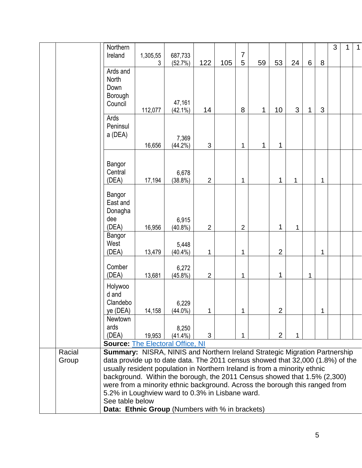|                 | Northern<br>Ireland                                                                                                                                                                                                                                                                                                                                                                                                                                                                                                                         | 1,305,55<br>3 | 687,733<br>(52.7%)   | 122            | 105 | 7<br>5         | 59 | 53             | 24 | $6\,$ | 8 | 3 | $\mathbf{1}$ | $\mathbf{1}$ |
|-----------------|---------------------------------------------------------------------------------------------------------------------------------------------------------------------------------------------------------------------------------------------------------------------------------------------------------------------------------------------------------------------------------------------------------------------------------------------------------------------------------------------------------------------------------------------|---------------|----------------------|----------------|-----|----------------|----|----------------|----|-------|---|---|--------------|--------------|
|                 | Ards and<br><b>North</b><br>Down<br>Borough<br>Council                                                                                                                                                                                                                                                                                                                                                                                                                                                                                      | 112,077       | 47,161<br>$(42.1\%)$ | 14             |     | 8              | 1  | 10             | 3  | 1     | 3 |   |              |              |
|                 | Ards<br>Peninsul<br>a (DEA)                                                                                                                                                                                                                                                                                                                                                                                                                                                                                                                 | 16,656        | 7,369<br>$(44.2\%)$  | 3              |     | 1              | 1  | 1              |    |       |   |   |              |              |
|                 | Bangor<br>Central<br>(DEA)                                                                                                                                                                                                                                                                                                                                                                                                                                                                                                                  | 17,194        | 6,678<br>$(38.8\%)$  | $\overline{2}$ |     | 1              |    | 1              | 1  |       | 1 |   |              |              |
|                 | Bangor<br>East and<br>Donagha<br>dee<br>(DEA)                                                                                                                                                                                                                                                                                                                                                                                                                                                                                               | 16,956        | 6,915<br>$(40.8\%)$  | $\overline{2}$ |     | $\overline{2}$ |    | 1              | 1  |       |   |   |              |              |
|                 | Bangor<br>West<br>(DEA)                                                                                                                                                                                                                                                                                                                                                                                                                                                                                                                     | 13,479        | 5,448<br>$(40.4\%)$  | 1              |     | 1              |    | $\overline{2}$ |    |       | 1 |   |              |              |
|                 | Comber<br>(DEA)                                                                                                                                                                                                                                                                                                                                                                                                                                                                                                                             | 13,681        | 6,272<br>$(45.8\%)$  | $\overline{2}$ |     | 1              |    | 1              |    | 1     |   |   |              |              |
|                 | Holywoo<br>d and<br>Clandebo<br>ye (DEA)                                                                                                                                                                                                                                                                                                                                                                                                                                                                                                    | 14,158        | 6,229<br>$(44.0\%)$  | 1              |     | 1              |    | $\overline{2}$ |    |       | 1 |   |              |              |
|                 | Newtown<br>ards<br>(DEA)<br><b>Source: The Electoral Office, NI</b>                                                                                                                                                                                                                                                                                                                                                                                                                                                                         | 19,953        | 8,250<br>$(41.4\%)$  | 3              |     | 1              |    | $\overline{2}$ | 1  |       |   |   |              |              |
| Racial<br>Group | <b>Summary: NISRA, NINIS and Northern Ireland Strategic Migration Partnership</b><br>data provide up to date data. The 2011 census showed that 32,000 (1.8%) of the<br>usually resident population in Northern Ireland is from a minority ethnic<br>background. Within the borough, the 2011 Census showed that 1.5% (2,300)<br>were from a minority ethnic background. Across the borough this ranged from<br>5.2% in Loughview ward to 0.3% in Lisbane ward.<br>See table below<br><b>Data: Ethnic Group</b> (Numbers with % in brackets) |               |                      |                |     |                |    |                |    |       |   |   |              |              |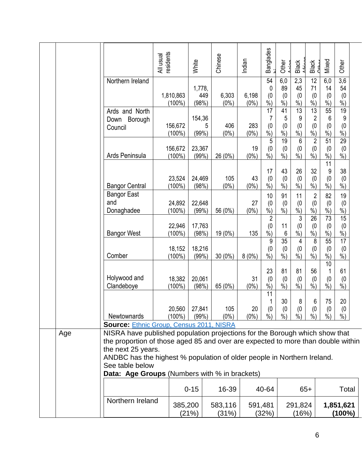|     |                                                                                                                                                                                                                                                                                                                                             | esidents<br>All usual  | White                  | Chinese          | Indian           | <b>Banglades</b>                           | Other                           | Black                                    | Black<br>Cather                               | Mixed                                        | Other                                          |
|-----|---------------------------------------------------------------------------------------------------------------------------------------------------------------------------------------------------------------------------------------------------------------------------------------------------------------------------------------------|------------------------|------------------------|------------------|------------------|--------------------------------------------|---------------------------------|------------------------------------------|-----------------------------------------------|----------------------------------------------|------------------------------------------------|
|     | Northern Ireland                                                                                                                                                                                                                                                                                                                            | 1,810,863<br>$(100\%)$ | 1,778,<br>449<br>(98%) | 6,303<br>$(0\%)$ | 6,198<br>$(0\%)$ | 54<br>0<br>(0)<br>$\%$ )                   | 6,0<br>89<br>(0)<br>$%$ )       | 2,3<br>45<br>(0)<br>$%$ )                | 12<br>71<br>(0)<br>%                          | 6,0<br>14<br>(0)<br>$%$ )                    | $\overline{3,6}$<br>54<br>(0)<br>$\frac{0}{0}$ |
|     | Ards and North<br>Borough<br>Down<br>Council                                                                                                                                                                                                                                                                                                | 156,672<br>$(100\%)$   | 154,36<br>5<br>(99%)   | 406<br>$(0\%)$   | 283<br>$(0\%)$   | 17<br>7<br>(0)<br>$\frac{0}{0}$            | 41<br>5<br>(0)<br>$%$ )         | $\overline{13}$<br>9<br>(0)<br>$%$ )     | $\overline{13}$<br>$\overline{2}$<br>(0)<br>% | 55<br>6<br>(0)<br>$%$ )                      | 19<br>9<br>(0)<br>$\frac{0}{0}$                |
|     | Ards Peninsula                                                                                                                                                                                                                                                                                                                              | 156,672<br>$(100\%)$   | 23,367<br>(99%)        | 26 (0%)          | 19<br>$(0\%)$    | 5<br>(0)<br>$\frac{0}{0}$                  | $\overline{19}$<br>(0)<br>$%$ ) | $6\phantom{1}6$<br>(0)<br>$\frac{9}{6}$  | $\sqrt{2}$<br>(0)<br>$\%$ )                   | 51<br>(0)<br>$%$ )<br>11                     | 29<br>(0)<br>$%$ )                             |
|     | <b>Bangor Central</b>                                                                                                                                                                                                                                                                                                                       | 23,524<br>$(100\%)$    | 24,469<br>(98%)        | 105<br>$(0\%)$   | 43<br>$(0\%)$    | 17<br>(0)<br>$\frac{0}{0}$                 | 43<br>(0)<br>$\frac{9}{6}$      | 26<br>(0)<br>$\frac{9}{6}$               | 32<br>(0)<br>$\frac{6}{6}$                    | 9<br>(0)<br>$\frac{9}{6}$                    | 38<br>(0)<br>$\dot{90}$                        |
|     | <b>Bangor East</b><br>and<br>Donaghadee                                                                                                                                                                                                                                                                                                     | 24,892<br>$(100\%)$    | 22,648<br>(99%)        | 56 (0%)          | 27<br>$(0\%)$    | 10<br>(0)<br>$\dot{\%})$<br>$\overline{2}$ | 91<br>(0)<br>$\dot{\%}$         | 11<br>(0)<br>$\vec{v}_0$<br>$\mathbf{3}$ | $\overline{2}$<br>(0)<br>$\dot{\%})$<br>26    | 82<br>(0)<br>$\overline{\frac{9}{6}})$<br>73 | 19<br>(0)<br>$\dot{90}$<br>15                  |
|     | <b>Bangor West</b>                                                                                                                                                                                                                                                                                                                          | 22,946<br>$(100\%)$    | 17,763<br>(98%)        | 19 (0%)          | 135              | (0)<br>$%$ )<br>9                          | 11<br>6<br>35                   | (0)<br>$%$ )<br>4                        | (0)<br>$%$ )<br>8                             | (0)<br>$%$ )<br>55                           | (0)<br>$%$ )<br>17                             |
|     | Comber                                                                                                                                                                                                                                                                                                                                      | 18,152<br>$(100\%)$    | 18,216<br>(99%         | 30 (0%)          | $8(0\%)$         | (0)<br>$\frac{0}{0}$                       | (0)<br>$\frac{9}{6}$            | (0)<br>$\frac{9}{6}$                     | (0)<br>$\dot{\%}$                             | (0)<br>$%$ )<br>10                           | (0)<br>$\frac{9}{6}$                           |
|     | Holywood and<br>Clandeboye                                                                                                                                                                                                                                                                                                                  | 18,382<br>$(100\%)$    | 20,061<br>(98%)        | 65 (0%)          | 31<br>$(0\%)$    | 23<br>(0)<br>$\frac{0}{0}$<br>11           | 81<br>(0)<br>$%$ )              | 81<br>(0)<br>$%$ )                       | 56<br>(0)<br>$%$ )                            | (0)<br>$%$ )                                 | 61<br>(0)<br>%                                 |
|     | Newtownards<br>Source: Ethnic Group, Census 2011, NISRA                                                                                                                                                                                                                                                                                     | 20,560<br>$(100\%)$    | 27,841<br>(99%)        | 105<br>$(0\%)$   | 20<br>$(0\%)$    | $\mathbf{1}$<br>(0)<br>$%$ )               | 30<br>(0)<br>$%$ )              | 8<br>(0)<br>$%$ )                        | 6<br>(0)<br>$%$ )                             | 75<br>(0)<br>$%$ )                           | 20<br>(0)<br>$%$ )                             |
| Age | NISRA have published population projections for the Borough which show that<br>the proportion of those aged 85 and over are expected to more than double within<br>the next 25 years.<br>ANDBC has the highest % population of older people in Northern Ireland.<br>See table below<br><b>Data: Age Groups (Numbers with % in brackets)</b> |                        |                        |                  |                  |                                            |                                 |                                          |                                               |                                              |                                                |
|     |                                                                                                                                                                                                                                                                                                                                             |                        | $0 - 15$               | 16-39            |                  | 40-64                                      |                                 |                                          | $65+$                                         |                                              | Total                                          |
|     | Northern Ireland                                                                                                                                                                                                                                                                                                                            | 385,200                | (21%)                  | 583,116<br>(31%) |                  | 591,481<br>(32%)                           |                                 | 291,824<br>(16%)                         |                                               |                                              | 1,851,621<br>$(100\%)$                         |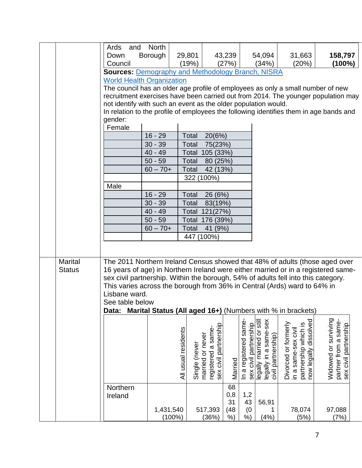|                |                                                                                        | <b>North</b>           |                                      |                                                                 |               |                                               |                                                                         |                                                                                              |                                                                                   |
|----------------|----------------------------------------------------------------------------------------|------------------------|--------------------------------------|-----------------------------------------------------------------|---------------|-----------------------------------------------|-------------------------------------------------------------------------|----------------------------------------------------------------------------------------------|-----------------------------------------------------------------------------------|
|                | Ards<br>and                                                                            |                        |                                      |                                                                 |               |                                               |                                                                         |                                                                                              |                                                                                   |
|                | Down                                                                                   | Borough                | 29,801                               |                                                                 | 43,239        |                                               | 54,094                                                                  | 31,663                                                                                       | 158,797                                                                           |
|                | Council                                                                                |                        | (19%)                                |                                                                 | (27%)         |                                               | (34%)                                                                   | (20%)                                                                                        | $(100\%)$                                                                         |
|                | <b>Sources: Demography and Methodology Branch, NISRA</b>                               |                        |                                      |                                                                 |               |                                               |                                                                         |                                                                                              |                                                                                   |
|                | <b>World Health Organization</b>                                                       |                        |                                      |                                                                 |               |                                               |                                                                         |                                                                                              |                                                                                   |
|                | The council has an older age profile of employees as only a small number of new        |                        |                                      |                                                                 |               |                                               |                                                                         |                                                                                              |                                                                                   |
|                |                                                                                        |                        |                                      |                                                                 |               |                                               |                                                                         |                                                                                              | recruitment exercises have been carried out from 2014. The younger population may |
|                | not identify with such an event as the older population would.                         |                        |                                      |                                                                 |               |                                               |                                                                         |                                                                                              |                                                                                   |
|                | In relation to the profile of employees the following identifies them in age bands and |                        |                                      |                                                                 |               |                                               |                                                                         |                                                                                              |                                                                                   |
|                | gender:                                                                                |                        |                                      |                                                                 |               |                                               |                                                                         |                                                                                              |                                                                                   |
|                | Female                                                                                 |                        |                                      |                                                                 |               |                                               |                                                                         |                                                                                              |                                                                                   |
|                |                                                                                        | $16 - 29$              | Total                                | 20(6%)                                                          |               |                                               |                                                                         |                                                                                              |                                                                                   |
|                |                                                                                        | $30 - 39$              | Total                                | 75(23%)                                                         |               |                                               |                                                                         |                                                                                              |                                                                                   |
|                |                                                                                        | $40 - 49$              |                                      | Total 105 (33%)                                                 |               |                                               |                                                                         |                                                                                              |                                                                                   |
|                |                                                                                        | $50 - 59$              | Total                                | 80 (25%)                                                        |               |                                               |                                                                         |                                                                                              |                                                                                   |
|                |                                                                                        | $60 - 70 +$            | Total                                | 42 (13%)                                                        |               |                                               |                                                                         |                                                                                              |                                                                                   |
|                |                                                                                        |                        | 322 (100%)                           |                                                                 |               |                                               |                                                                         |                                                                                              |                                                                                   |
|                | Male                                                                                   |                        |                                      |                                                                 |               |                                               |                                                                         |                                                                                              |                                                                                   |
|                |                                                                                        | $16 - 29$              | Total                                | 26 (6%)                                                         |               |                                               |                                                                         |                                                                                              |                                                                                   |
|                |                                                                                        | $30 - 39$              | Total                                | 83(19%)                                                         |               |                                               |                                                                         |                                                                                              |                                                                                   |
|                |                                                                                        | $40 - 49$              |                                      | Total 121(27%)                                                  |               |                                               |                                                                         |                                                                                              |                                                                                   |
|                |                                                                                        | $50 - 59$              |                                      | Total 176 (39%)                                                 |               |                                               |                                                                         |                                                                                              |                                                                                   |
|                |                                                                                        | $60 - 70 +$            | Total                                | 41 (9%)                                                         |               |                                               |                                                                         |                                                                                              |                                                                                   |
|                |                                                                                        |                        | 447 (100%)                           |                                                                 |               |                                               |                                                                         |                                                                                              |                                                                                   |
|                |                                                                                        |                        |                                      |                                                                 |               |                                               |                                                                         |                                                                                              |                                                                                   |
|                |                                                                                        |                        |                                      |                                                                 |               |                                               |                                                                         |                                                                                              |                                                                                   |
| <b>Marital</b> | The 2011 Northern Ireland Census showed that 48% of adults (those aged over            |                        |                                      |                                                                 |               |                                               |                                                                         |                                                                                              |                                                                                   |
| <b>Status</b>  | 16 years of age) in Northern Ireland were either married or in a registered same-      |                        |                                      |                                                                 |               |                                               |                                                                         |                                                                                              |                                                                                   |
|                | sex civil partnership. Within the borough, 54% of adults fell into this category.      |                        |                                      |                                                                 |               |                                               |                                                                         |                                                                                              |                                                                                   |
|                | This varies across the borough from 36% in Central (Ards) ward to 64% in               |                        |                                      |                                                                 |               |                                               |                                                                         |                                                                                              |                                                                                   |
|                | Lisbane ward.                                                                          |                        |                                      |                                                                 |               |                                               |                                                                         |                                                                                              |                                                                                   |
|                | See table below                                                                        |                        |                                      |                                                                 |               |                                               |                                                                         |                                                                                              |                                                                                   |
|                | Data:                                                                                  |                        |                                      |                                                                 |               |                                               |                                                                         | Marital Status (All aged 16+) (Numbers with % in brackets)                                   |                                                                                   |
|                |                                                                                        |                        |                                      |                                                                 |               |                                               |                                                                         |                                                                                              |                                                                                   |
|                |                                                                                        |                        |                                      |                                                                 |               |                                               |                                                                         |                                                                                              |                                                                                   |
|                |                                                                                        |                        |                                      |                                                                 |               |                                               |                                                                         |                                                                                              |                                                                                   |
|                |                                                                                        |                        |                                      |                                                                 |               |                                               |                                                                         |                                                                                              |                                                                                   |
|                |                                                                                        |                        |                                      |                                                                 |               |                                               |                                                                         |                                                                                              |                                                                                   |
|                |                                                                                        |                        |                                      |                                                                 |               |                                               |                                                                         |                                                                                              |                                                                                   |
|                |                                                                                        |                        |                                      |                                                                 |               |                                               |                                                                         |                                                                                              |                                                                                   |
|                |                                                                                        |                        | All usual residents<br>Single (never | sex civil partnership<br>registered a same-<br>married or never | Married       | In a registered same<br>sex civil partnership | legally in a same-sex<br>legally married or still<br>civil partnership) | now legally dissolved<br>Divorced or formerly<br>partnership which is<br>in a same-sex civil | Widowed or surviving<br>partner from a same-<br>sex civil partnership             |
|                |                                                                                        |                        |                                      |                                                                 |               |                                               |                                                                         |                                                                                              |                                                                                   |
|                | Northern                                                                               |                        |                                      |                                                                 | 68            |                                               |                                                                         |                                                                                              |                                                                                   |
|                | Ireland                                                                                |                        |                                      |                                                                 | 0,8           | 1,2                                           |                                                                         |                                                                                              |                                                                                   |
|                |                                                                                        |                        |                                      |                                                                 | 31            | 43                                            | 56,91                                                                   |                                                                                              |                                                                                   |
|                |                                                                                        | 1,431,540<br>$(100\%)$ |                                      | 517,393                                                         | (48)<br>$%$ ) | (0)<br>$%$ )                                  | (4% )                                                                   | 78,074<br>(5%)                                                                               | 97,088<br>(7%)                                                                    |
|                |                                                                                        |                        |                                      | (36%)                                                           |               |                                               |                                                                         |                                                                                              |                                                                                   |

7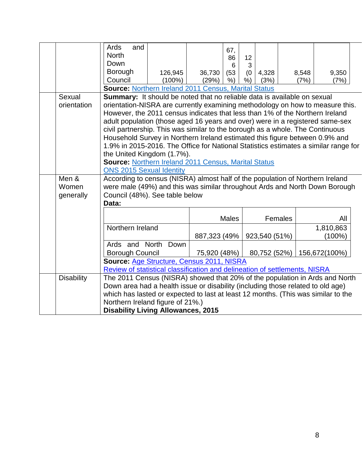|                   | Ards<br>and                                                                         |           |              | 67,          |     |               |         |               |  |
|-------------------|-------------------------------------------------------------------------------------|-----------|--------------|--------------|-----|---------------|---------|---------------|--|
|                   | <b>North</b>                                                                        |           |              | 86           | 12  |               |         |               |  |
|                   | Down                                                                                |           |              | 6            | 3   |               |         |               |  |
|                   | Borough                                                                             | 126,945   | 36,730       | (53)         | (0) | 4,328         | 8,548   | 9,350         |  |
|                   | Council                                                                             | $(100\%)$ | (29%)        | $%$ )        | %)  | (3%)          | (7%)    | (7%)          |  |
|                   | <b>Source: Northern Ireland 2011 Census, Marital Status</b>                         |           |              |              |     |               |         |               |  |
| Sexual            | Summary: It should be noted that no reliable data is available on sexual            |           |              |              |     |               |         |               |  |
| orientation       | orientation-NISRA are currently examining methodology on how to measure this.       |           |              |              |     |               |         |               |  |
|                   | However, the 2011 census indicates that less than 1% of the Northern Ireland        |           |              |              |     |               |         |               |  |
|                   | adult population (those aged 16 years and over) were in a registered same-sex       |           |              |              |     |               |         |               |  |
|                   | civil partnership. This was similar to the borough as a whole. The Continuous       |           |              |              |     |               |         |               |  |
|                   | Household Survey in Northern Ireland estimated this figure between 0.9% and         |           |              |              |     |               |         |               |  |
|                   | 1.9% in 2015-2016. The Office for National Statistics estimates a similar range for |           |              |              |     |               |         |               |  |
|                   | the United Kingdom (1.7%).                                                          |           |              |              |     |               |         |               |  |
|                   | <b>Source: Northern Ireland 2011 Census, Marital Status</b>                         |           |              |              |     |               |         |               |  |
|                   | <b>ONS 2015 Sexual Identity</b>                                                     |           |              |              |     |               |         |               |  |
| Men &             | According to census (NISRA) almost half of the population of Northern Ireland       |           |              |              |     |               |         |               |  |
| Women             | were male (49%) and this was similar throughout Ards and North Down Borough         |           |              |              |     |               |         |               |  |
| generally         | Council (48%). See table below                                                      |           |              |              |     |               |         |               |  |
|                   | Data:                                                                               |           |              |              |     |               |         |               |  |
|                   |                                                                                     |           |              | <b>Males</b> |     |               | Females | All           |  |
|                   | Northern Ireland                                                                    |           |              |              |     |               |         | 1,810,863     |  |
|                   |                                                                                     |           | 887,323 (49% |              |     | 923,540 (51%) |         | $(100\%)$     |  |
|                   | Ards and North Down                                                                 |           |              |              |     |               |         |               |  |
|                   | <b>Borough Council</b>                                                              |           | 75,920 (48%) |              |     | 80,752 (52%)  |         | 156,672(100%) |  |
|                   | <b>Source: Age Structure, Census 2011, NISRA</b>                                    |           |              |              |     |               |         |               |  |
|                   | Review of statistical classification and delineation of settlements, NISRA          |           |              |              |     |               |         |               |  |
| <b>Disability</b> | The 2011 Census (NISRA) showed that 20% of the population in Ards and North         |           |              |              |     |               |         |               |  |
|                   | Down area had a health issue or disability (including those related to old age)     |           |              |              |     |               |         |               |  |
|                   | which has lasted or expected to last at least 12 months. (This was similar to the   |           |              |              |     |               |         |               |  |
|                   | Northern Ireland figure of 21%.)                                                    |           |              |              |     |               |         |               |  |
|                   | <b>Disability Living Allowances, 2015</b>                                           |           |              |              |     |               |         |               |  |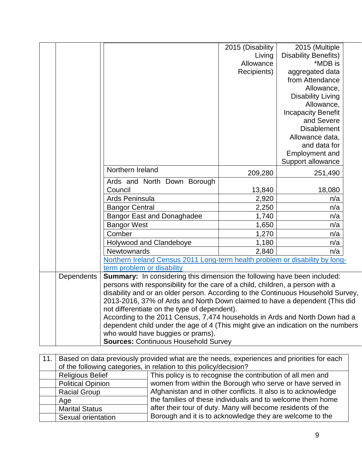|            |                                                                                  | 2015 (Disability | 2015 (Multiple              |  |
|------------|----------------------------------------------------------------------------------|------------------|-----------------------------|--|
|            |                                                                                  | Living           | <b>Disability Benefits)</b> |  |
|            |                                                                                  | Allowance        | *MDB is                     |  |
|            |                                                                                  | Recipients)      | aggregated data             |  |
|            |                                                                                  |                  | from Attendance             |  |
|            |                                                                                  |                  | Allowance,                  |  |
|            |                                                                                  |                  | <b>Disability Living</b>    |  |
|            |                                                                                  |                  | Allowance,                  |  |
|            |                                                                                  |                  | <b>Incapacity Benefit</b>   |  |
|            |                                                                                  |                  | and Severe                  |  |
|            |                                                                                  |                  | <b>Disablement</b>          |  |
|            |                                                                                  |                  | Allowance data,             |  |
|            |                                                                                  |                  | and data for                |  |
|            |                                                                                  |                  | Employment and              |  |
|            |                                                                                  |                  | Support allowance           |  |
|            | Northern Ireland                                                                 | 209,280          | 251,490                     |  |
|            | Ards and North Down Borough                                                      |                  |                             |  |
|            | Council                                                                          | 13,840           | 18,080                      |  |
|            | Ards Peninsula                                                                   | 2,920            | n/a                         |  |
|            | <b>Bangor Central</b>                                                            | 2,250            | n/a                         |  |
|            | <b>Bangor East and Donaghadee</b>                                                | 1,740            | n/a                         |  |
|            | <b>Bangor West</b>                                                               | 1,650            | n/a                         |  |
|            | Comber                                                                           | 1,270            | n/a                         |  |
|            | Holywood and Clandeboye                                                          | 1,180            | n/a                         |  |
|            | Newtownards                                                                      | 2,840            | n/a                         |  |
|            | Northern Ireland Census 2011 Long-term health problem or disability by long-     |                  |                             |  |
|            | term problem or disability                                                       |                  |                             |  |
| Dependents | Summary: In considering this dimension the following have been included:         |                  |                             |  |
|            | persons with responsibility for the care of a child, children, a person with a   |                  |                             |  |
|            | disability and or an older person. According to the Continuous Household Survey, |                  |                             |  |
|            | 2013-2016, 37% of Ards and North Down claimed to have a dependent (This did      |                  |                             |  |
|            | not differentiate on the type of dependent).                                     |                  |                             |  |
|            | According to the 2011 Census, 7,474 households in Ards and North Down had a      |                  |                             |  |
|            | dependent child under the age of 4 (This might give an indication on the numbers |                  |                             |  |
|            | who would have buggies or prams).                                                |                  |                             |  |
|            | <b>Sources: Continuous Household Survey</b>                                      |                  |                             |  |

| 11.1 |                                                                   | Based on data previously provided what are the needs, experiences and priorities for each |  |  |  |  |  |  |  |
|------|-------------------------------------------------------------------|-------------------------------------------------------------------------------------------|--|--|--|--|--|--|--|
|      | of the following categories, in relation to this policy/decision? |                                                                                           |  |  |  |  |  |  |  |
|      | <b>Religious Belief</b>                                           | This policy is to recognise the contribution of all men and                               |  |  |  |  |  |  |  |
|      | <b>Political Opinion</b>                                          | women from within the Borough who serve or have served in                                 |  |  |  |  |  |  |  |
|      | <b>Racial Group</b>                                               | Afghanistan and in other conflicts. It also is to acknowledge                             |  |  |  |  |  |  |  |
|      | Age                                                               | the families of these individuals and to welcome them home                                |  |  |  |  |  |  |  |
|      | <b>Marital Status</b>                                             | after their tour of duty. Many will become residents of the                               |  |  |  |  |  |  |  |
|      | Sexual orientation                                                | Borough and it is to acknowledge they are welcome to the                                  |  |  |  |  |  |  |  |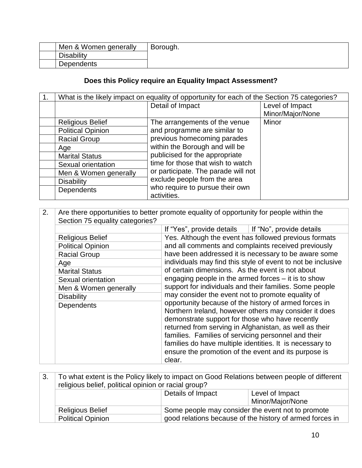| Men & Women generally | Borough. |
|-----------------------|----------|
| <b>Disability</b>     |          |
| <b>Dependents</b>     |          |

## **Does this Policy require an Equality Impact Assessment?**

| 1. | What is the likely impact on equality of opportunity for each of the Section 75 categories? |                                     |                  |
|----|---------------------------------------------------------------------------------------------|-------------------------------------|------------------|
|    |                                                                                             | Detail of Impact                    | Level of Impact  |
|    |                                                                                             |                                     | Minor/Major/None |
|    | <b>Religious Belief</b>                                                                     | The arrangements of the venue       | Minor            |
|    | <b>Political Opinion</b>                                                                    | and programme are similar to        |                  |
|    | <b>Racial Group</b>                                                                         | previous homecoming parades         |                  |
|    | Age                                                                                         | within the Borough and will be      |                  |
|    | <b>Marital Status</b>                                                                       | publicised for the appropriate      |                  |
|    | Sexual orientation                                                                          | time for those that wish to watch   |                  |
|    | Men & Women generally                                                                       | or participate. The parade will not |                  |
|    | <b>Disability</b>                                                                           | exclude people from the area        |                  |
|    | Dependents                                                                                  | who require to pursue their own     |                  |
|    |                                                                                             | activities.                         |                  |

| 2. | Are there opportunities to better promote equality of opportunity for people within the |                                                                                                                                                                     |                                                         |  |  |
|----|-----------------------------------------------------------------------------------------|---------------------------------------------------------------------------------------------------------------------------------------------------------------------|---------------------------------------------------------|--|--|
|    | Section 75 equality categories?                                                         |                                                                                                                                                                     |                                                         |  |  |
|    |                                                                                         | If "Yes", provide details   If "No", provide details                                                                                                                |                                                         |  |  |
|    | <b>Religious Belief</b>                                                                 |                                                                                                                                                                     | Yes. Although the event has followed previous formats   |  |  |
|    | <b>Political Opinion</b>                                                                |                                                                                                                                                                     | and all comments and complaints received previously     |  |  |
|    | <b>Racial Group</b>                                                                     | have been addressed it is necessary to be aware some                                                                                                                |                                                         |  |  |
|    | Age                                                                                     | individuals may find this style of event to not be inclusive<br>of certain dimensions. As the event is not about                                                    |                                                         |  |  |
|    | <b>Marital Status</b>                                                                   |                                                                                                                                                                     |                                                         |  |  |
|    | Sexual orientation                                                                      | engaging people in the armed forces $-$ it is to show                                                                                                               |                                                         |  |  |
|    | Men & Women generally                                                                   |                                                                                                                                                                     | support for individuals and their families. Some people |  |  |
|    | <b>Disability</b>                                                                       | may consider the event not to promote equality of<br>opportunity because of the history of armed forces in<br>Northern Ireland, however others may consider it does |                                                         |  |  |
|    | <b>Dependents</b>                                                                       |                                                                                                                                                                     |                                                         |  |  |
|    |                                                                                         | demonstrate support for those who have recently<br>returned from serving in Afghanistan, as well as their<br>families. Families of servicing personnel and their    |                                                         |  |  |
|    |                                                                                         | families do have multiple identities. It is necessary to<br>ensure the promotion of the event and its purpose is                                                    |                                                         |  |  |
|    |                                                                                         | clear.                                                                                                                                                              |                                                         |  |  |

| 3. | To what extent is the Policy likely to impact on Good Relations between people of different<br>religious belief, political opinion or racial group? |                                                          |                                     |
|----|-----------------------------------------------------------------------------------------------------------------------------------------------------|----------------------------------------------------------|-------------------------------------|
|    |                                                                                                                                                     | Details of Impact                                        | Level of Impact<br>Minor/Major/None |
|    |                                                                                                                                                     |                                                          |                                     |
|    | <b>Religious Belief</b>                                                                                                                             | Some people may consider the event not to promote        |                                     |
|    | <b>Political Opinion</b>                                                                                                                            | good relations because of the history of armed forces in |                                     |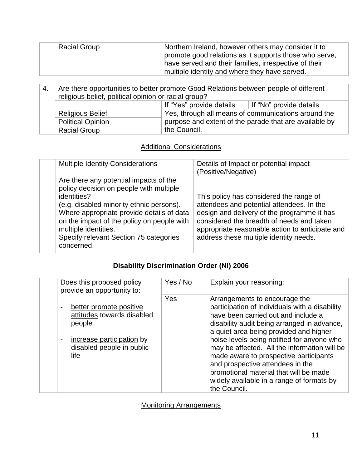| <b>Racial Group</b> | Northern Ireland, however others may consider it to<br>promote good relations as it supports those who serve,<br>have served and their families, irrespective of their |
|---------------------|------------------------------------------------------------------------------------------------------------------------------------------------------------------------|
|                     | multiple identity and where they have served.                                                                                                                          |

| -4. | Are there opportunities to better promote Good Relations between people of different<br>religious belief, political opinion or racial group? |                                                     |                                                        |
|-----|----------------------------------------------------------------------------------------------------------------------------------------------|-----------------------------------------------------|--------------------------------------------------------|
|     | If "Yes" provide details $\parallel$ If "No" provide details                                                                                 |                                                     |                                                        |
|     | <b>Religious Belief</b>                                                                                                                      | Yes, through all means of communications around the |                                                        |
|     | <b>Political Opinion</b>                                                                                                                     |                                                     | purpose and extent of the parade that are available by |
|     | <b>Racial Group</b>                                                                                                                          | the Council.                                        |                                                        |

### Additional Considerations

| <b>Multiple Identity Considerations</b>                                                                                                                                                                                                                                                                                 | Details of Impact or potential impact<br>(Positive/Negative)                                                                                                                                                                                                                  |
|-------------------------------------------------------------------------------------------------------------------------------------------------------------------------------------------------------------------------------------------------------------------------------------------------------------------------|-------------------------------------------------------------------------------------------------------------------------------------------------------------------------------------------------------------------------------------------------------------------------------|
| Are there any potential impacts of the<br>policy decision on people with multiple<br>identities?<br>(e.g. disabled minority ethnic persons).<br>Where appropriate provide details of data<br>on the impact of the policy on people with<br>multiple identities.<br>Specify relevant Section 75 categories<br>concerned. | This policy has considered the range of<br>attendees and potential attendees. In the<br>design and delivery of the programme it has<br>considered the breadth of needs and taken<br>appropriate reasonable action to anticipate and<br>address these multiple identity needs. |

### **Disability Discrimination Order (NI) 2006**

| Does this proposed policy<br>provide an opportunity to:                                                                                                           | Yes / No | Explain your reasoning:                                                                                                                                                                                                                                                                                                                                                                                                               |
|-------------------------------------------------------------------------------------------------------------------------------------------------------------------|----------|---------------------------------------------------------------------------------------------------------------------------------------------------------------------------------------------------------------------------------------------------------------------------------------------------------------------------------------------------------------------------------------------------------------------------------------|
| better promote positive<br>$\qquad \qquad \blacksquare$<br>attitudes towards disabled<br>people<br>increase participation by<br>disabled people in public<br>life | Yes      | Arrangements to encourage the<br>participation of individuals with a disability<br>have been carried out and include a<br>disability audit being arranged in advance,<br>a quiet area being provided and higher<br>noise levels being notified for anyone who<br>may be affected. All the information will be<br>made aware to prospective participants<br>and prospective attendees in the<br>promotional material that will be made |
|                                                                                                                                                                   |          | widely available in a range of formats by<br>the Council.                                                                                                                                                                                                                                                                                                                                                                             |

Monitoring Arrangements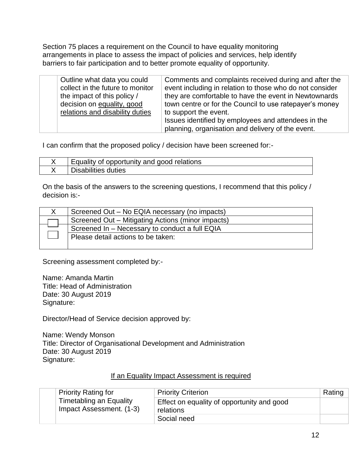Section 75 places a requirement on the Council to have equality monitoring arrangements in place to assess the impact of policies and services, help identify barriers to fair participation and to better promote equality of opportunity.

| Outline what data you could<br>collect in the future to monitor<br>the impact of this policy /<br>decision on equality, good<br>relations and disability duties | Comments and complaints received during and after the<br>event including in relation to those who do not consider<br>they are comfortable to have the event in Newtownards<br>town centre or for the Council to use ratepayer's money<br>to support the event. |
|-----------------------------------------------------------------------------------------------------------------------------------------------------------------|----------------------------------------------------------------------------------------------------------------------------------------------------------------------------------------------------------------------------------------------------------------|
|                                                                                                                                                                 | Issues identified by employees and attendees in the<br>planning, organisation and delivery of the event.                                                                                                                                                       |

I can confirm that the proposed policy / decision have been screened for:-

| Equality of opportunity and good relations |
|--------------------------------------------|
| <b>Disabilities duties</b>                 |

On the basis of the answers to the screening questions, I recommend that this policy / decision is:-

| Screened Out - No EQIA necessary (no impacts)     |
|---------------------------------------------------|
| Screened Out - Mitigating Actions (minor impacts) |
| Screened In - Necessary to conduct a full EQIA    |
| Please detail actions to be taken:                |
|                                                   |

Screening assessment completed by:-

Name: Amanda Martin Title: Head of Administration Date: 30 August 2019 Signature:

Director/Head of Service decision approved by:

Name: Wendy Monson Title: Director of Organisational Development and Administration Date: 30 August 2019 Signature:

#### If an Equality Impact Assessment is required

| <b>Priority Rating for</b>                                 | <b>Priority Criterion</b>                               | Rating |
|------------------------------------------------------------|---------------------------------------------------------|--------|
| <b>Timetabling an Equality</b><br>Impact Assessment. (1-3) | Effect on equality of opportunity and good<br>relations |        |
|                                                            | Social need                                             |        |